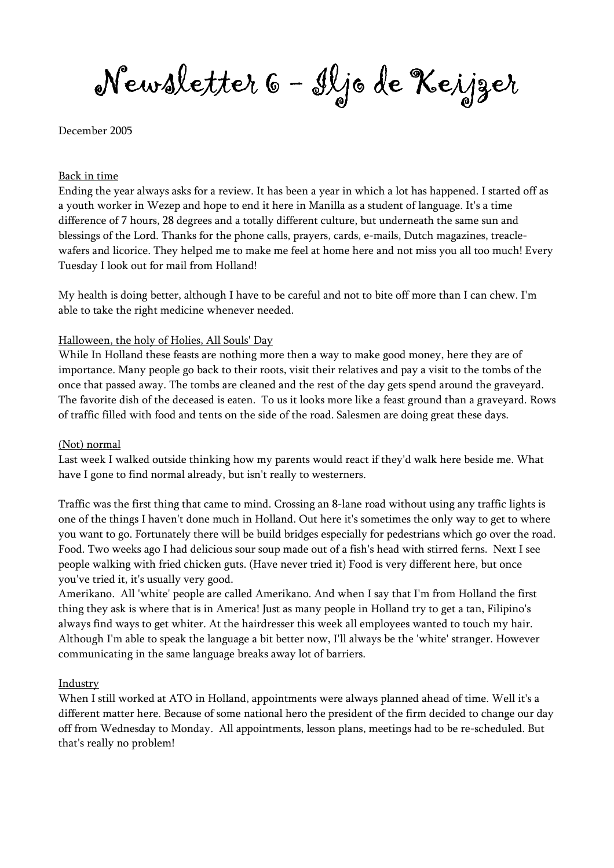Newsletter 6 - Iljo de Keijzer

December 2005

#### Back in time

Ending the year always asks for a review. It has been a year in which a lot has happened. I started off as a youth worker in Wezep and hope to end it here in Manilla as a student of language. It's a time difference of 7 hours, 28 degrees and a totally different culture, but underneath the same sun and blessings of the Lord. Thanks for the phone calls, prayers, cards, e-mails, Dutch magazines, treaclewafers and licorice. They helped me to make me feel at home here and not miss you all too much! Every Tuesday I look out for mail from Holland!

My health is doing better, although I have to be careful and not to bite off more than I can chew. I'm able to take the right medicine whenever needed.

#### Halloween, the holy of Holies, All Souls' Day

While In Holland these feasts are nothing more then a way to make good money, here they are of importance. Many people go back to their roots, visit their relatives and pay a visit to the tombs of the once that passed away. The tombs are cleaned and the rest of the day gets spend around the graveyard. The favorite dish of the deceased is eaten. To us it looks more like a feast ground than a graveyard. Rows of traffic filled with food and tents on the side of the road. Salesmen are doing great these days.

#### (Not) normal

Last week I walked outside thinking how my parents would react if they'd walk here beside me. What have I gone to find normal already, but isn't really to westerners.

Traffic was the first thing that came to mind. Crossing an 8-lane road without using any traffic lights is one of the things I haven't done much in Holland. Out here it's sometimes the only way to get to where you want to go. Fortunately there will be build bridges especially for pedestrians which go over the road. Food. Two weeks ago I had delicious sour soup made out of a fish's head with stirred ferns. Next I see people walking with fried chicken guts. (Have never tried it) Food is very different here, but once you've tried it, it's usually very good.

Amerikano. All 'white' people are called Amerikano. And when I say that I'm from Holland the first thing they ask is where that is in America! Just as many people in Holland try to get a tan, Filipino's always find ways to get whiter. At the hairdresser this week all employees wanted to touch my hair. Although I'm able to speak the language a bit better now, I'll always be the 'white' stranger. However communicating in the same language breaks away lot of barriers.

### Industry

When I still worked at ATO in Holland, appointments were always planned ahead of time. Well it's a different matter here. Because of some national hero the president of the firm decided to change our day off from Wednesday to Monday. All appointments, lesson plans, meetings had to be re-scheduled. But that's really no problem!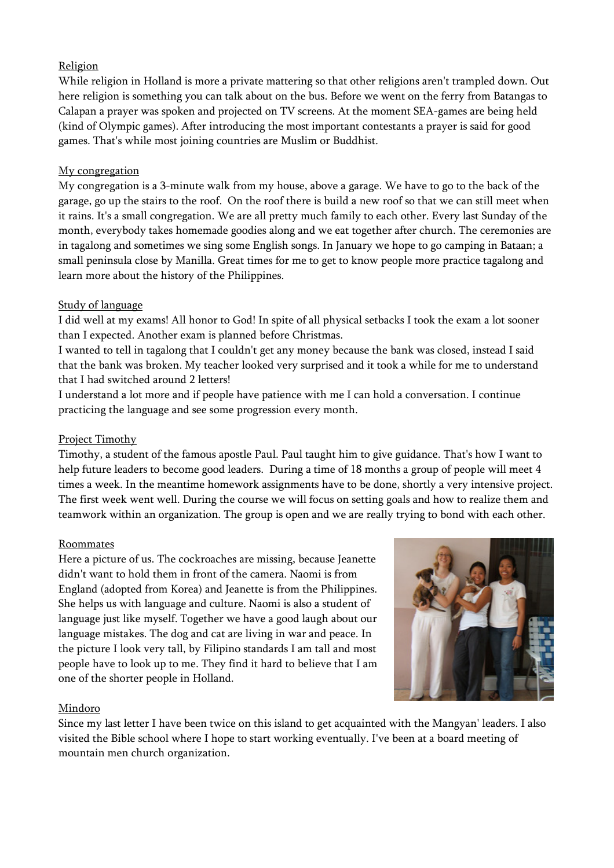# Religion

While religion in Holland is more a private mattering so that other religions aren't trampled down. Out here religion is something you can talk about on the bus. Before we went on the ferry from Batangas to Calapan a prayer was spoken and projected on TV screens. At the moment SEA-games are being held (kind of Olympic games). After introducing the most important contestants a prayer is said for good games. That's while most joining countries are Muslim or Buddhist.

# My congregation

My congregation is a 3-minute walk from my house, above a garage. We have to go to the back of the garage, go up the stairs to the roof. On the roof there is build a new roof so that we can still meet when it rains. It's a small congregation. We are all pretty much family to each other. Every last Sunday of the month, everybody takes homemade goodies along and we eat together after church. The ceremonies are in tagalong and sometimes we sing some English songs. In January we hope to go camping in Bataan; a small peninsula close by Manilla. Great times for me to get to know people more practice tagalong and learn more about the history of the Philippines.

# Study of language

I did well at my exams! All honor to God! In spite of all physical setbacks I took the exam a lot sooner than I expected. Another exam is planned before Christmas.

I wanted to tell in tagalong that I couldn't get any money because the bank was closed, instead I said that the bank was broken. My teacher looked very surprised and it took a while for me to understand that I had switched around 2 letters!

I understand a lot more and if people have patience with me I can hold a conversation. I continue practicing the language and see some progression every month.

# Project Timothy

Timothy, a student of the famous apostle Paul. Paul taught him to give guidance. That's how I want to help future leaders to become good leaders. During a time of 18 months a group of people will meet 4 times a week. In the meantime homework assignments have to be done, shortly a very intensive project. The first week went well. During the course we will focus on setting goals and how to realize them and teamwork within an organization. The group is open and we are really trying to bond with each other.

### Roommates

Here a picture of us. The cockroaches are missing, because Jeanette didn't want to hold them in front of the camera. Naomi is from England (adopted from Korea) and Jeanette is from the Philippines. She helps us with language and culture. Naomi is also a student of language just like myself. Together we have a good laugh about our language mistakes. The dog and cat are living in war and peace. In the picture I look very tall, by Filipino standards I am tall and most people have to look up to me. They find it hard to believe that I am one of the shorter people in Holland.



### Mindoro

Since my last letter I have been twice on this island to get acquainted with the Mangyan' leaders. I also visited the Bible school where I hope to start working eventually. I've been at a board meeting of mountain men church organization.